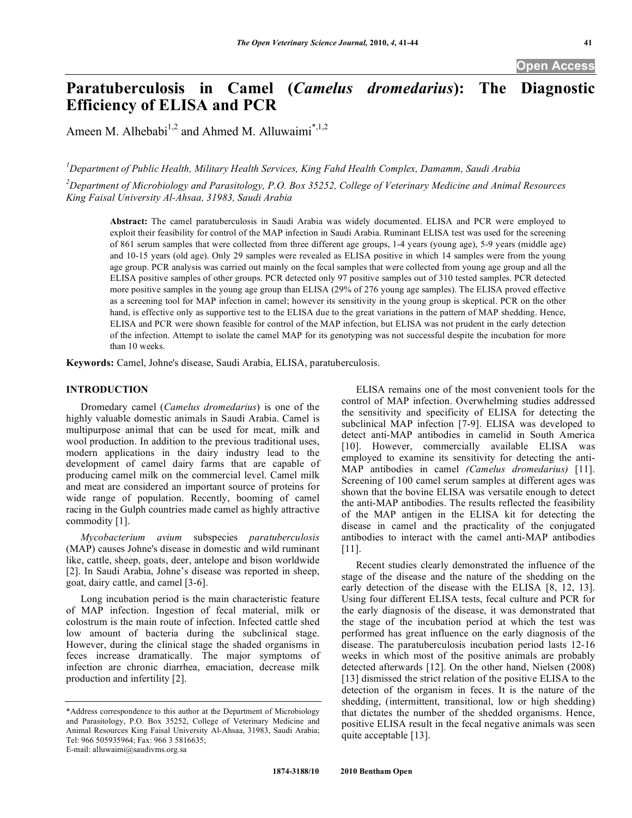# **Paratuberculosis in Camel (***Camelus dromedarius***): The Diagnostic Efficiency of ELISA and PCR**

Ameen M. Alhebabi<sup>1,2</sup> and Ahmed M. Alluwaimi<sup>\*,1,2</sup>

*1 Department of Public Health, Military Health Services, King Fahd Health Complex, Damamm, Saudi Arabia* 

*2 Department of Microbiology and Parasitology, P.O. Box 35252, College of Veterinary Medicine and Animal Resources King Faisal University Al-Ahsaa, 31983, Saudi Arabia* 

**Abstract:** The camel paratuberculosis in Saudi Arabia was widely documented. ELISA and PCR were employed to exploit their feasibility for control of the MAP infection in Saudi Arabia. Ruminant ELISA test was used for the screening of 861 serum samples that were collected from three different age groups, 1-4 years (young age), 5-9 years (middle age) and 10-15 years (old age). Only 29 samples were revealed as ELISA positive in which 14 samples were from the young age group. PCR analysis was carried out mainly on the fecal samples that were collected from young age group and all the ELISA positive samples of other groups. PCR detected only 97 positive samples out of 310 tested samples. PCR detected more positive samples in the young age group than ELISA (29% of 276 young age samples). The ELISA proved effective as a screening tool for MAP infection in camel; however its sensitivity in the young group is skeptical. PCR on the other hand, is effective only as supportive test to the ELISA due to the great variations in the pattern of MAP shedding. Hence, ELISA and PCR were shown feasible for control of the MAP infection, but ELISA was not prudent in the early detection of the infection. Attempt to isolate the camel MAP for its genotyping was not successful despite the incubation for more than 10 weeks.

**Keywords:** Camel, Johne's disease, Saudi Arabia, ELISA, paratuberculosis.

# **INTRODUCTION**

 Dromedary camel (*Camelus dromedarius*) is one of the highly valuable domestic animals in Saudi Arabia. Camel is multipurpose animal that can be used for meat, milk and wool production. In addition to the previous traditional uses, modern applications in the dairy industry lead to the development of camel dairy farms that are capable of producing camel milk on the commercial level. Camel milk and meat are considered an important source of proteins for wide range of population. Recently, booming of camel racing in the Gulph countries made camel as highly attractive commodity [1].

 *Mycobacterium avium* subspecies *paratuberculosis* (MAP) causes Johne's disease in domestic and wild ruminant like, cattle, sheep, goats, deer, antelope and bison worldwide [2]. In Saudi Arabia, Johne's disease was reported in sheep, goat, dairy cattle, and camel [3-6].

 Long incubation period is the main characteristic feature of MAP infection. Ingestion of fecal material, milk or colostrum is the main route of infection. Infected cattle shed low amount of bacteria during the subclinical stage. However, during the clinical stage the shaded organisms in feces increase dramatically. The major symptoms of infection are chronic diarrhea, emaciation, decrease milk production and infertility [2].

 ELISA remains one of the most convenient tools for the control of MAP infection. Overwhelming studies addressed the sensitivity and specificity of ELISA for detecting the subclinical MAP infection [7-9]. ELISA was developed to detect anti-MAP antibodies in camelid in South America [10]. However, commercially available ELISA was employed to examine its sensitivity for detecting the anti-MAP antibodies in camel *(Camelus dromedarius)* [11]. Screening of 100 camel serum samples at different ages was shown that the bovine ELISA was versatile enough to detect the anti-MAP antibodies. The results reflected the feasibility of the MAP antigen in the ELISA kit for detecting the disease in camel and the practicality of the conjugated antibodies to interact with the camel anti-MAP antibodies [11].

 Recent studies clearly demonstrated the influence of the stage of the disease and the nature of the shedding on the early detection of the disease with the ELISA [8, 12, 13]. Using four different ELISA tests, fecal culture and PCR for the early diagnosis of the disease, it was demonstrated that the stage of the incubation period at which the test was performed has great influence on the early diagnosis of the disease. The paratuberculosis incubation period lasts 12-16 weeks in which most of the positive animals are probably detected afterwards [12]. On the other hand, Nielsen (2008) [13] dismissed the strict relation of the positive ELISA to the detection of the organism in feces. It is the nature of the shedding, (intermittent, transitional, low or high shedding) that dictates the number of the shedded organisms. Hence, positive ELISA result in the fecal negative animals was seen quite acceptable [13].

<sup>\*</sup>Address correspondence to this author at the Department of Microbiology and Parasitology, P.O. Box 35252, College of Veterinary Medicine and Animal Resources King Faisal University Al-Ahsaa, 31983, Saudi Arabia; Tel: 966 505935964; Fax: 966 3 5816635; E-mail: alluwaimi@saudivms.org.sa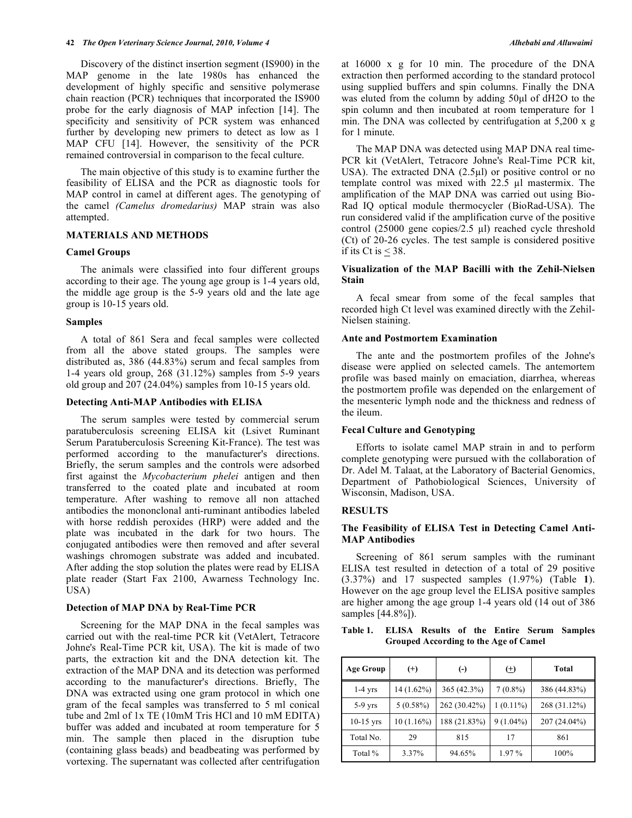Discovery of the distinct insertion segment (IS900) in the MAP genome in the late 1980s has enhanced the development of highly specific and sensitive polymerase chain reaction (PCR) techniques that incorporated the IS900 probe for the early diagnosis of MAP infection [14]. The specificity and sensitivity of PCR system was enhanced further by developing new primers to detect as low as 1 MAP CFU [14]. However, the sensitivity of the PCR remained controversial in comparison to the fecal culture.

 The main objective of this study is to examine further the feasibility of ELISA and the PCR as diagnostic tools for MAP control in camel at different ages. The genotyping of the camel *(Camelus dromedarius)* MAP strain was also attempted.

# **MATERIALS AND METHODS**

# **Camel Groups**

 The animals were classified into four different groups according to their age. The young age group is 1-4 years old, the middle age group is the 5-9 years old and the late age group is 10-15 years old.

# **Samples**

 A total of 861 Sera and fecal samples were collected from all the above stated groups. The samples were distributed as, 386 (44.83%) serum and fecal samples from 1-4 years old group, 268 (31.12%) samples from 5-9 years old group and 207 (24.04%) samples from 10-15 years old.

# **Detecting Anti-MAP Antibodies with ELISA**

 The serum samples were tested by commercial serum paratuberculosis screening ELISA kit (Lsivet Ruminant Serum Paratuberculosis Screening Kit-France). The test was performed according to the manufacturer's directions. Briefly, the serum samples and the controls were adsorbed first against the *Mycobacterium phelei* antigen and then transferred to the coated plate and incubated at room temperature. After washing to remove all non attached antibodies the mononclonal anti-ruminant antibodies labeled with horse reddish peroxides (HRP) were added and the plate was incubated in the dark for two hours. The conjugated antibodies were then removed and after several washings chromogen substrate was added and incubated. After adding the stop solution the plates were read by ELISA plate reader (Start Fax 2100, Awarness Technology Inc. USA)

# **Detection of MAP DNA by Real-Time PCR**

 Screening for the MAP DNA in the fecal samples was carried out with the real-time PCR kit (VetAlert, Tetracore Johne's Real-Time PCR kit, USA). The kit is made of two parts, the extraction kit and the DNA detection kit. The extraction of the MAP DNA and its detection was performed according to the manufacturer's directions. Briefly, The DNA was extracted using one gram protocol in which one gram of the fecal samples was transferred to 5 ml conical tube and 2ml of 1x TE (10mM Tris HCl and 10 mM EDITA) buffer was added and incubated at room temperature for 5 min. The sample then placed in the disruption tube (containing glass beads) and beadbeating was performed by vortexing. The supernatant was collected after centrifugation at 16000 x g for 10 min. The procedure of the DNA extraction then performed according to the standard protocol using supplied buffers and spin columns. Finally the DNA was eluted from the column by adding 50μl of dH2O to the spin column and then incubated at room temperature for 1 min. The DNA was collected by centrifugation at 5,200 x g for 1 minute.

 The MAP DNA was detected using MAP DNA real time-PCR kit (VetAlert, Tetracore Johne's Real-Time PCR kit, USA). The extracted DNA  $(2.5\mu l)$  or positive control or no template control was mixed with  $22.5 \text{ }\mu\text{l}$  mastermix. The amplification of the MAP DNA was carried out using Bio-Rad IQ optical module thermocycler (BioRad-USA). The run considered valid if the amplification curve of the positive control (25000 gene copies/2.5  $\mu$ l) reached cycle threshold (Ct) of 20-26 cycles. The test sample is considered positive if its Ct is  $\leq$  38.

# **Visualization of the MAP Bacilli with the Zehil-Nielsen Stain**

 A fecal smear from some of the fecal samples that recorded high Ct level was examined directly with the Zehil-Nielsen staining.

# **Ante and Postmortem Examination**

 The ante and the postmortem profiles of the Johne's disease were applied on selected camels. The antemortem profile was based mainly on emaciation, diarrhea, whereas the postmortem profile was depended on the enlargement of the mesenteric lymph node and the thickness and redness of the ileum.

# **Fecal Culture and Genotyping**

 Efforts to isolate camel MAP strain in and to perform complete genotyping were pursued with the collaboration of Dr. Adel M. Talaat, at the Laboratory of Bacterial Genomics, Department of Pathobiological Sciences, University of Wisconsin, Madison, USA.

# **RESULTS**

# **The Feasibility of ELISA Test in Detecting Camel Anti-MAP Antibodies**

 Screening of 861 serum samples with the ruminant ELISA test resulted in detection of a total of 29 positive (3.37%) and 17 suspected samples (1.97%) (Table **1**). However on the age group level the ELISA positive samples are higher among the age group 1-4 years old (14 out of 386 samples [44.8%]).

# **Table 1. ELISA Results of the Entire Serum Samples Grouped According to the Age of Camel**

| <b>Age Group</b> | $^{(+)}$    | $(-)$        | $(\pm)$     | Total        |
|------------------|-------------|--------------|-------------|--------------|
| $1-4$ yrs        | 14 (1.62%)  | 365 (42.3%)  | $7(0.8\%)$  | 386 (44.83%) |
| $5-9$ yrs        | $5(0.58\%)$ | 262 (30.42%) | $1(0.11\%)$ | 268 (31.12%) |
| $10-15$ yrs      | 10(1.16%)   | 188 (21.83%) | $9(1.04\%)$ | 207 (24.04%) |
| Total No.        | 29          | 815          | 17          | 861          |
| Total %          | 3.37%       | 94.65%       | 1.97 %      | 100%         |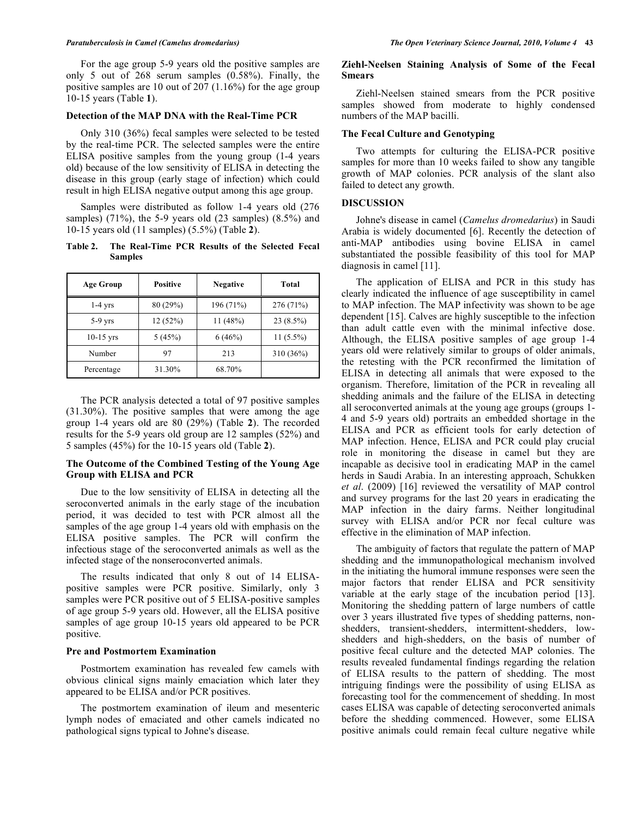For the age group 5-9 years old the positive samples are only 5 out of 268 serum samples (0.58%). Finally, the positive samples are 10 out of 207 (1.16%) for the age group 10-15 years (Table **1**).

### **Detection of the MAP DNA with the Real-Time PCR**

 Only 310 (36%) fecal samples were selected to be tested by the real-time PCR. The selected samples were the entire ELISA positive samples from the young group (1-4 years old) because of the low sensitivity of ELISA in detecting the disease in this group (early stage of infection) which could result in high ELISA negative output among this age group.

 Samples were distributed as follow 1-4 years old (276 samples) (71%), the 5-9 years old (23 samples) (8.5%) and 10-15 years old (11 samples) (5.5%) (Table **2**).

# **Table 2. The Real-Time PCR Results of the Selected Fecal Samples**

| <b>Age Group</b> | <b>Positive</b> | <b>Negative</b> | Total       |
|------------------|-----------------|-----------------|-------------|
| $1-4$ yrs        | 80 (29%)        | 196 (71%)       | 276 (71%)   |
| $5-9$ yrs        | 12 (52%)        | 11(48%)         | $23(8.5\%)$ |
| $10-15$ yrs      | 5(45%)          | 6(46%)          | $11(5.5\%)$ |
| Number           | 97              | 213             | 310 (36%)   |
| Percentage       | 31.30%          | 68.70%          |             |

 The PCR analysis detected a total of 97 positive samples (31.30%). The positive samples that were among the age group 1-4 years old are 80 (29%) (Table **2**). The recorded results for the 5-9 years old group are 12 samples (52%) and 5 samples (45%) for the 10-15 years old (Table **2**).

# **The Outcome of the Combined Testing of the Young Age Group with ELISA and PCR**

 Due to the low sensitivity of ELISA in detecting all the seroconverted animals in the early stage of the incubation period, it was decided to test with PCR almost all the samples of the age group 1-4 years old with emphasis on the ELISA positive samples. The PCR will confirm the infectious stage of the seroconverted animals as well as the infected stage of the nonseroconverted animals.

 The results indicated that only 8 out of 14 ELISApositive samples were PCR positive. Similarly, only 3 samples were PCR positive out of 5 ELISA-positive samples of age group 5-9 years old. However, all the ELISA positive samples of age group 10-15 years old appeared to be PCR positive.

### **Pre and Postmortem Examination**

 Postmortem examination has revealed few camels with obvious clinical signs mainly emaciation which later they appeared to be ELISA and/or PCR positives.

 The postmortem examination of ileum and mesenteric lymph nodes of emaciated and other camels indicated no pathological signs typical to Johne's disease.

### **Ziehl-Neelsen Staining Analysis of Some of the Fecal Smears**

 Ziehl-Neelsen stained smears from the PCR positive samples showed from moderate to highly condensed numbers of the MAP bacilli.

# **The Fecal Culture and Genotyping**

 Two attempts for culturing the ELISA-PCR positive samples for more than 10 weeks failed to show any tangible growth of MAP colonies. PCR analysis of the slant also failed to detect any growth.

# **DISCUSSION**

 Johne's disease in camel (*Camelus dromedarius*) in Saudi Arabia is widely documented [6]. Recently the detection of anti-MAP antibodies using bovine ELISA in camel substantiated the possible feasibility of this tool for MAP diagnosis in camel [11].

 The application of ELISA and PCR in this study has clearly indicated the influence of age susceptibility in camel to MAP infection. The MAP infectivity was shown to be age dependent [15]. Calves are highly susceptible to the infection than adult cattle even with the minimal infective dose. Although, the ELISA positive samples of age group 1-4 years old were relatively similar to groups of older animals, the retesting with the PCR reconfirmed the limitation of ELISA in detecting all animals that were exposed to the organism. Therefore, limitation of the PCR in revealing all shedding animals and the failure of the ELISA in detecting all seroconverted animals at the young age groups (groups 1- 4 and 5-9 years old) portraits an embedded shortage in the ELISA and PCR as efficient tools for early detection of MAP infection. Hence, ELISA and PCR could play crucial role in monitoring the disease in camel but they are incapable as decisive tool in eradicating MAP in the camel herds in Saudi Arabia. In an interesting approach, Schukken *et al*. (2009) [16] reviewed the versatility of MAP control and survey programs for the last 20 years in eradicating the MAP infection in the dairy farms. Neither longitudinal survey with ELISA and/or PCR nor fecal culture was effective in the elimination of MAP infection.

 The ambiguity of factors that regulate the pattern of MAP shedding and the immunopathological mechanism involved in the initiating the humoral immune responses were seen the major factors that render ELISA and PCR sensitivity variable at the early stage of the incubation period [13]. Monitoring the shedding pattern of large numbers of cattle over 3 years illustrated five types of shedding patterns, nonshedders, transient-shedders, intermittent-shedders, lowshedders and high-shedders, on the basis of number of positive fecal culture and the detected MAP colonies. The results revealed fundamental findings regarding the relation of ELISA results to the pattern of shedding. The most intriguing findings were the possibility of using ELISA as forecasting tool for the commencement of shedding. In most cases ELISA was capable of detecting seroconverted animals before the shedding commenced. However, some ELISA positive animals could remain fecal culture negative while